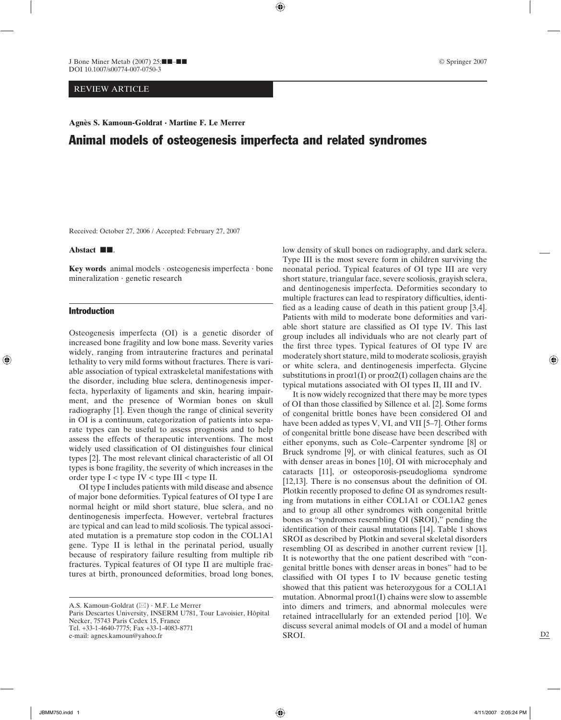⊕

J Bone Miner Metab (2007)  $25$ : $\blacksquare - \blacksquare$ DOI 10.1007/s00774-007-0750-3

# REVIEW ARTICLE

# Animal models of osteogenesis imperfecta and related syndromes

Received: October 27, 2006 / Accepted: February 27, 2007

## Abstact **II.**

**Key words** animal models · osteogenesis imperfecta · bone mineralization · genetic research

### Introduction

◈

Osteogenesis imperfecta (OI) is a genetic disorder of increased bone fragility and low bone mass. Severity varies widely, ranging from intrauterine fractures and perinatal lethality to very mild forms without fractures. There is variable association of typical extraskeletal manifestations with the disorder, including blue sclera, dentinogenesis imperfecta, hyperlaxity of ligaments and skin, hearing impairment, and the presence of Wormian bones on skull radiography [1]. Even though the range of clinical severity in OI is a continuum, categorization of patients into separate types can be useful to assess prognosis and to help assess the effects of therapeutic interventions. The most widely used classification of OI distinguishes four clinical types [2]. The most relevant clinical characteristic of all OI types is bone fragility, the severity of which increases in the order type  $I <$  type  $IV <$  type  $III <$  type II.

OI type I includes patients with mild disease and absence of major bone deformities. Typical features of OI type I are normal height or mild short stature, blue sclera, and no dentinogenesis imperfecta. However, vertebral fractures are typical and can lead to mild scoliosis. The typical associated mutation is a premature stop codon in the COL1A1 gene. Type II is lethal in the perinatal period, usually because of respiratory failure resulting from multiple rib fractures. Typical features of OI type II are multiple fractures at birth, pronounced deformities, broad long bones,

A.S. Kamoun-Goldrat ( $\boxtimes$ ) · M.F. Le Merrer Paris Descartes University, INSERM U781, Tour Lavoisier, Hôpital Necker, 75743 Paris Cedex 15, France Tel. +33-1-4640-7775; Fax +33-1-4083-8771

© Springer 2007

low density of skull bones on radiography, and dark sclera. Type III is the most severe form in children surviving the neonatal period. Typical features of OI type III are very short stature, triangular face, severe scoliosis, grayish sclera, and dentinogenesis imperfecta. Deformities secondary to multiple fractures can lead to respiratory difficulties, identified as a leading cause of death in this patient group  $[3,4]$ . Patients with mild to moderate bone deformities and variable short stature are classified as OI type IV. This last group includes all individuals who are not clearly part of the first three types. Typical features of OI type IV are moderately short stature, mild to moderate scoliosis, grayish or white sclera, and dentinogenesis imperfecta. Glycine substitutions in  $prox1(I)$  or  $prox2(I)$  collagen chains are the typical mutations associated with OI types II, III and IV.

It is now widely recognized that there may be more types of OI than those classified by Sillence et al. [2]. Some forms of congenital brittle bones have been considered OI and have been added as types V, VI, and VII [5–7]. Other forms of congenital brittle bone disease have been described with either eponyms, such as Cole–Carpenter syndrome [8] or Bruck syndrome [9], or with clinical features, such as OI with denser areas in bones [10], OI with microcephaly and cataracts [11], or osteoporosis-pseudoglioma syndrome  $[12,13]$ . There is no consensus about the definition of OI. Plotkin recently proposed to define OI as syndromes resulting from mutations in either COL1A1 or COL1A2 genes and to group all other syndromes with congenital brittle bones as "syndromes resembling OI (SROI)," pending the identification of their causal mutations [14]. Table 1 shows SROI as described by Plotkin and several skeletal disorders resembling OI as described in another current review [1]. It is noteworthy that the one patient described with "congenital brittle bones with denser areas in bones" had to be classified with OI types I to IV because genetic testing showed that this patient was heterozygous for a COL1A1 mutation. Abnormal  $prox1(I)$  chains were slow to assemble into dimers and trimers, and abnormal molecules were retained intracellularly for an extended period [10]. We discuss several animal models of OI and a model of human SROI.

e-mail: agnes.kamoun@yahoo.fr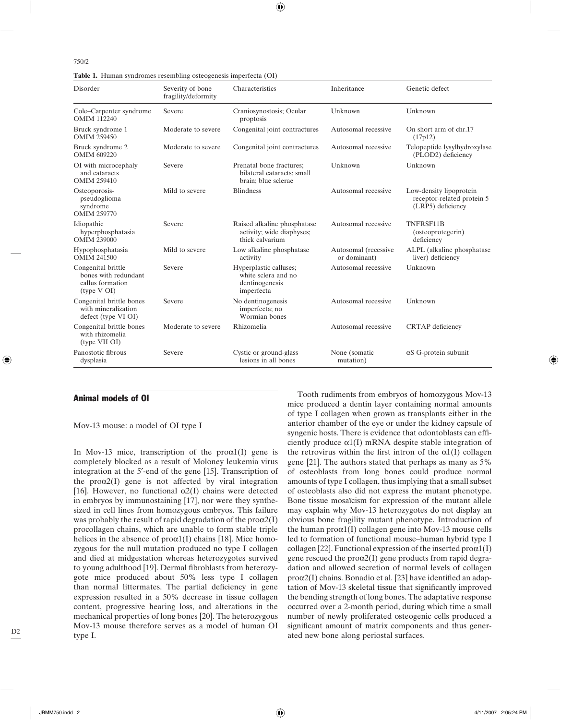**Table 1.** Human syndromes resembling osteogenesis imperfecta (OI)

| Disorder                                                                      | Severity of bone<br>fragility/deformity | Characteristics                                                               | Inheritance                          | Genetic defect                                                             |
|-------------------------------------------------------------------------------|-----------------------------------------|-------------------------------------------------------------------------------|--------------------------------------|----------------------------------------------------------------------------|
| Cole-Carpenter syndrome<br><b>OMIM 112240</b>                                 | Severe                                  | Craniosynostosis; Ocular<br>proptosis                                         | Unknown                              | Unknown                                                                    |
| Bruck syndrome 1<br><b>OMIM 259450</b>                                        | Moderate to severe                      | Congenital joint contractures                                                 | Autosomal recessive                  | On short arm of chr.17<br>(17p12)                                          |
| Bruck syndrome 2<br><b>OMIM 609220</b>                                        | Moderate to severe                      | Congenital joint contractures                                                 | Autosomal recessive                  | Telopeptide lysylhydroxylase<br>(PLOD2) deficiency                         |
| OI with microcephaly<br>and cataracts<br><b>OMIM 259410</b>                   | Severe                                  | Prenatal bone fractures;<br>bilateral cataracts; small<br>brain; blue sclerae | Unknown                              | Unknown                                                                    |
| Osteoporosis-<br>pseudoglioma<br>syndrome<br><b>OMIM 259770</b>               | Mild to severe                          | <b>Blindness</b>                                                              | Autosomal recessive                  | Low-density lipoprotein<br>receptor-related protein 5<br>(LRP5) deficiency |
| Idiopathic<br>hyperphosphatasia<br><b>OMIM 239000</b>                         | Severe                                  | Raised alkaline phosphatase<br>activity; wide diaphyses;<br>thick calvarium   | Autosomal recessive                  | TNFRSF11B<br>(osteoprotegerin)<br>deficiency                               |
| Hypophosphatasia<br><b>OMIM 241500</b>                                        | Mild to severe                          | Low alkaline phosphatase<br>activity                                          | Autosomal (recessive<br>or dominant) | ALPL (alkaline phosphatase)<br>liver) deficiency                           |
| Congenital brittle<br>bones with redundant<br>callus formation<br>(type V OI) | Severe                                  | Hyperplastic calluses;<br>white sclera and no<br>dentinogenesis<br>imperfecta | Autosomal recessive                  | Unknown                                                                    |
| Congenital brittle bones<br>with mineralization<br>defect (type VI OI)        | Severe                                  | No dentinogenesis<br>imperfecta; no<br>Wormian bones                          | Autosomal recessive                  | Unknown                                                                    |
| Congenital brittle bones<br>with rhizomelia<br>(type VII OI)                  | Moderate to severe                      | Rhizomelia                                                                    | Autosomal recessive                  | <b>CRTAP</b> deficiency                                                    |
| Panostotic fibrous<br>dysplasia                                               | Severe                                  | Cystic or ground-glass<br>lesions in all bones                                | None (somatic<br>mutation)           | $\alpha$ S G-protein subunit                                               |

⊕

## Animal models of OI

Mov-13 mouse: a model of OI type I

In Mov-13 mice, transcription of the  $prox(1)$  gene is completely blocked as a result of Moloney leukemia virus integration at the 5′-end of the gene [15]. Transcription of the  $prox(1)$  gene is not affected by viral integration [16]. However, no functional  $\alpha$ 2(I) chains were detected in embryos by immunostaining [17], nor were they synthesized in cell lines from homozygous embryos. This failure was probably the result of rapid degradation of the  $prox(1)$ procollagen chains, which are unable to form stable triple helices in the absence of  $prox1(I)$  chains [18]. Mice homozygous for the null mutation produced no type I collagen and died at midgestation whereas heterozygotes survived to young adulthood [19]. Dermal fibroblasts from heterozygote mice produced about 50% less type I collagen than normal littermates. The partial deficiency in gene expression resulted in a 50% decrease in tissue collagen content, progressive hearing loss, and alterations in the mechanical properties of long bones [20]. The heterozygous Mov-13 mouse therefore serves as a model of human OI type I.

Tooth rudiments from embryos of homozygous Mov-13 mice produced a dentin layer containing normal amounts of type I collagen when grown as transplants either in the anterior chamber of the eye or under the kidney capsule of syngenic hosts. There is evidence that odontoblasts can efficiently produce  $\alpha$ 1(I) mRNA despite stable integration of the retrovirus within the first intron of the  $\alpha$ 1(I) collagen gene [21]. The authors stated that perhaps as many as 5% of osteoblasts from long bones could produce normal amounts of type I collagen, thus implying that a small subset of osteoblasts also did not express the mutant phenotype. Bone tissue mosaïcism for expression of the mutant allele may explain why Mov-13 heterozygotes do not display an obvious bone fragility mutant phenotype. Introduction of the human  $prox1(I)$  collagen gene into Mov-13 mouse cells led to formation of functional mouse–human hybrid type I collagen [22]. Functional expression of the inserted  $prox1(I)$ gene rescued the  $prox(1)$  gene products from rapid degradation and allowed secretion of normal levels of collagen  $prox(1)$  chains. Bonadio et al. [23] have identified an adaptation of Mov-13 skeletal tissue that significantly improved the bending strength of long bones. The adaptative response occurred over a 2-month period, during which time a small number of newly proliferated osteogenic cells produced a significant amount of matrix components and thus generated new bone along periostal surfaces.

◈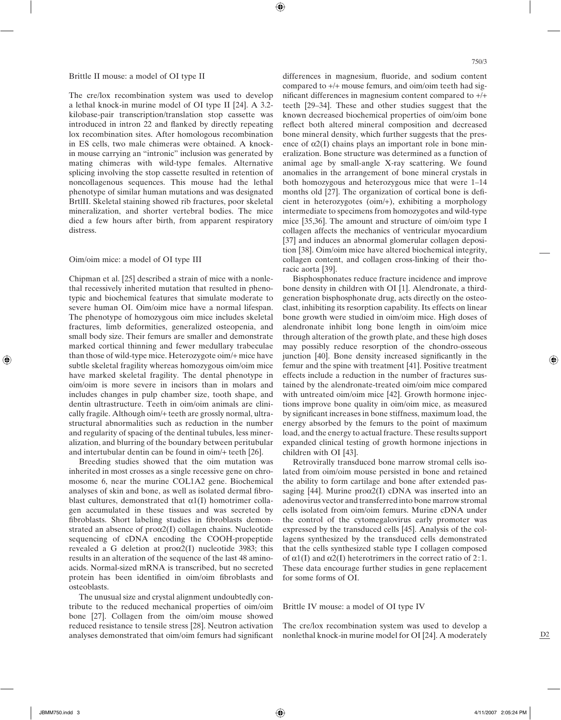## Brittle II mouse: a model of OI type II

The cre/lox recombination system was used to develop a lethal knock-in murine model of OI type II [24]. A 3.2 kilobase-pair transcription/translation stop cassette was introduced in intron 22 and flanked by directly repeating lox recombination sites. After homologous recombination in ES cells, two male chimeras were obtained. A knockin mouse carrying an "intronic" inclusion was generated by mating chimeras with wild-type females. Alternative splicing involving the stop cassette resulted in retention of noncollagenous sequences. This mouse had the lethal phenotype of similar human mutations and was designated BrtlII. Skeletal staining showed rib fractures, poor skeletal mineralization, and shorter vertebral bodies. The mice died a few hours after birth, from apparent respiratory distress.

## Oim/oim mice: a model of OI type III

Chipman et al. [25] described a strain of mice with a nonlethal recessively inherited mutation that resulted in phenotypic and biochemical features that simulate moderate to severe human OI. Oim/oim mice have a normal lifespan. The phenotype of homozygous oim mice includes skeletal fractures, limb deformities, generalized osteopenia, and small body size. Their femurs are smaller and demonstrate marked cortical thinning and fewer medullary trabeculae than those of wild-type mice. Heterozygote oim/+ mice have subtle skeletal fragility whereas homozygous oim/oim mice have marked skeletal fragility. The dental phenotype in oim/oim is more severe in incisors than in molars and includes changes in pulp chamber size, tooth shape, and dentin ultrastructure. Teeth in oim/oim animals are clinically fragile. Although oim/+ teeth are grossly normal, ultrastructural abnormalities such as reduction in the number and regularity of spacing of the dentinal tubules, less mineralization, and blurring of the boundary between peritubular and intertubular dentin can be found in oim/+ teeth [26].

Breeding studies showed that the oim mutation was inherited in most crosses as a single recessive gene on chromosome 6, near the murine COL1A2 gene. Biochemical analyses of skin and bone, as well as isolated dermal fibroblast cultures, demonstrated that  $\alpha$ 1(I) homotrimer collagen accumulated in these tissues and was secreted by fibroblasts. Short labeling studies in fibroblasts demonstrated an absence of  $prox(1)$  collagen chains. Nucleotide sequencing of cDNA encoding the COOH-propeptide revealed a G deletion at  $prox(1)$  nucleotide 3983; this results in an alteration of the sequence of the last 48 aminoacids. Normal-sized mRNA is transcribed, but no secreted protein has been identified in oim/oim fibroblasts and osteoblasts.

The unusual size and crystal alignment undoubtedly contribute to the reduced mechanical properties of oim/oim bone [27]. Collagen from the oim/oim mouse showed reduced resistance to tensile stress [28]. Neutron activation analyses demonstrated that oim/oim femurs had significant differences in magnesium, fluoride, and sodium content compared to +/+ mouse femurs, and oim/oim teeth had significant differences in magnesium content compared to  $+/+$ teeth [29–34]. These and other studies suggest that the known decreased biochemical properties of oim/oim bone reflect both altered mineral composition and decreased bone mineral density, which further suggests that the presence of  $\alpha$ 2(I) chains plays an important role in bone mineralization. Bone structure was determined as a function of animal age by small-angle X-ray scattering. We found anomalies in the arrangement of bone mineral crystals in both homozygous and heterozygous mice that were 1–14 months old [27]. The organization of cortical bone is deficient in heterozygotes (oim/+), exhibiting a morphology intermediate to specimens from homozygotes and wild-type mice [35,36]. The amount and structure of oim/oim type I collagen affects the mechanics of ventricular myocardium [37] and induces an abnormal glomerular collagen deposition [38]. Oim/oim mice have altered biochemical integrity, collagen content, and collagen cross-linking of their thoracic aorta [39].

Bisphosphonates reduce fracture incidence and improve bone density in children with OI [1]. Alendronate, a thirdgeneration bisphosphonate drug, acts directly on the osteoclast, inhibiting its resorption capability. Its effects on linear bone growth were studied in oim/oim mice. High doses of alendronate inhibit long bone length in oim/oim mice through alteration of the growth plate, and these high doses may possibly reduce resorption of the chondro-osseous junction [40]. Bone density increased significantly in the femur and the spine with treatment [41]. Positive treatment effects include a reduction in the number of fractures sustained by the alendronate-treated oim/oim mice compared with untreated oim/oim mice [42]. Growth hormone injections improve bone quality in oim/oim mice, as measured by significant increases in bone stiffness, maximum load, the energy absorbed by the femurs to the point of maximum load, and the energy to actual fracture. These results support expanded clinical testing of growth hormone injections in children with OI [43].

Retrovirally transduced bone marrow stromal cells isolated from oim/oim mouse persisted in bone and retained the ability to form cartilage and bone after extended passaging [44]. Murine  $prox(1)$  cDNA was inserted into an adenovirus vector and transferred into bone marrow stromal cells isolated from oim/oim femurs. Murine cDNA under the control of the cytomegalovirus early promoter was expressed by the transduced cells [45]. Analysis of the collagens synthesized by the transduced cells demonstrated that the cells synthesized stable type I collagen composed of  $\alpha$ 1(I) and  $\alpha$ 2(I) heterotrimers in the correct ratio of 2:1. These data encourage further studies in gene replacement for some forms of OI.

## Brittle IV mouse: a model of OI type IV

The cre/lox recombination system was used to develop a nonlethal knock-in murine model for OI [24]. A moderately ◈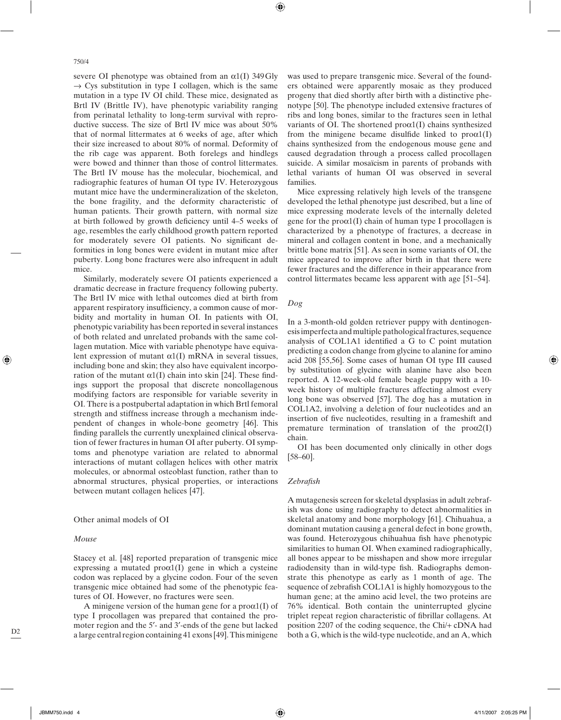750/4

severe OI phenotype was obtained from an  $\alpha$ 1(I) 349 Gly  $\rightarrow$  Cys substitution in type I collagen, which is the same mutation in a type IV OI child. These mice, designated as Brtl IV (Brittle IV), have phenotypic variability ranging from perinatal lethality to long-term survival with reproductive success. The size of Brtl IV mice was about 50% that of normal littermates at 6 weeks of age, after which their size increased to about 80% of normal. Deformity of the rib cage was apparent. Both forelegs and hindlegs were bowed and thinner than those of control littermates. The Brtl IV mouse has the molecular, biochemical, and radiographic features of human OI type IV. Heterozygous mutant mice have the undermineralization of the skeleton, the bone fragility, and the deformity characteristic of human patients. Their growth pattern, with normal size at birth followed by growth deficiency until 4–5 weeks of age, resembles the early childhood growth pattern reported for moderately severe OI patients. No significant deformities in long bones were evident in mutant mice after puberty. Long bone fractures were also infrequent in adult mice.

Similarly, moderately severe OI patients experienced a dramatic decrease in fracture frequency following puberty. The Brtl IV mice with lethal outcomes died at birth from apparent respiratory insufficiency, a common cause of morbidity and mortality in human OI. In patients with OI, phenotypic variability has been reported in several instances of both related and unrelated probands with the same collagen mutation. Mice with variable phenotype have equivalent expression of mutant  $\alpha$ 1(I) mRNA in several tissues, including bone and skin; they also have equivalent incorporation of the mutant  $\alpha$ 1(I) chain into skin [24]. These findings support the proposal that discrete noncollagenous modifying factors are responsible for variable severity in OI. There is a postpubertal adaptation in which Brtl femoral strength and stiffness increase through a mechanism independent of changes in whole-bone geometry [46]. This finding parallels the currently unexplained clinical observation of fewer fractures in human OI after puberty. OI symptoms and phenotype variation are related to abnormal interactions of mutant collagen helices with other matrix molecules, or abnormal osteoblast function, rather than to abnormal structures, physical properties, or interactions between mutant collagen helices [47].

#### Other animal models of OI

### *Mouse*

Stacey et al. [48] reported preparation of transgenic mice expressing a mutated  $prox1(I)$  gene in which a cysteine codon was replaced by a glycine codon. Four of the seven transgenic mice obtained had some of the phenotypic features of OI. However, no fractures were seen.

A minigene version of the human gene for a  $prox(1)$  of type I procollagen was prepared that contained the promoter region and the 5′- and 3′-ends of the gene but lacked a large central region containing 41 exons [49]. This minigene

was used to prepare transgenic mice. Several of the founders obtained were apparently mosaic as they produced progeny that died shortly after birth with a distinctive phenotype [50]. The phenotype included extensive fractures of ribs and long bones, similar to the fractures seen in lethal variants of OI. The shortened  $prox(1)$  chains synthesized from the minigene became disulfide linked to  $prox(1)$ chains synthesized from the endogenous mouse gene and caused degradation through a process called procollagen suicide. A similar mosaïcism in parents of probands with lethal variants of human OI was observed in several families.

Mice expressing relatively high levels of the transgene developed the lethal phenotype just described, but a line of mice expressing moderate levels of the internally deleted gene for the  $prox1(I)$  chain of human type I procollagen is characterized by a phenotype of fractures, a decrease in mineral and collagen content in bone, and a mechanically brittle bone matrix [51]. As seen in some variants of OI, the mice appeared to improve after birth in that there were fewer fractures and the difference in their appearance from control littermates became less apparent with age [51–54].

## *Dog*

⊕

In a 3-month-old golden retriever puppy with dentinogenesis imperfecta and multiple pathological fractures, sequence analysis of COL1A1 identified a G to C point mutation predicting a codon change from glycine to alanine for amino acid 208 [55,56]. Some cases of human OI type III caused by substitution of glycine with alanine have also been reported. A 12-week-old female beagle puppy with a 10 week history of multiple fractures affecting almost every long bone was observed [57]. The dog has a mutation in COL1A2, involving a deletion of four nucleotides and an insertion of five nucleotides, resulting in a frameshift and premature termination of translation of the proα2(I) chain.

OI has been documented only clinically in other dogs [58–60].

#### *Zebrafi sh*

A mutagenesis screen for skeletal dysplasias in adult zebrafish was done using radiography to detect abnormalities in skeletal anatomy and bone morphology [61]. Chihuahua, a dominant mutation causing a general defect in bone growth, was found. Heterozygous chihuahua fish have phenotypic similarities to human OI. When examined radiographically, all bones appear to be misshapen and show more irregular radiodensity than in wild-type fish. Radiographs demonstrate this phenotype as early as 1 month of age. The sequence of zebrafish COL1A1 is highly homozygous to the human gene; at the amino acid level, the two proteins are 76% identical. Both contain the uninterrupted glycine triplet repeat region characteristic of fibrillar collagens. At position 2207 of the coding sequence, the Chi/+ cDNA had both a G, which is the wild-type nucleotide, and an A, which

◈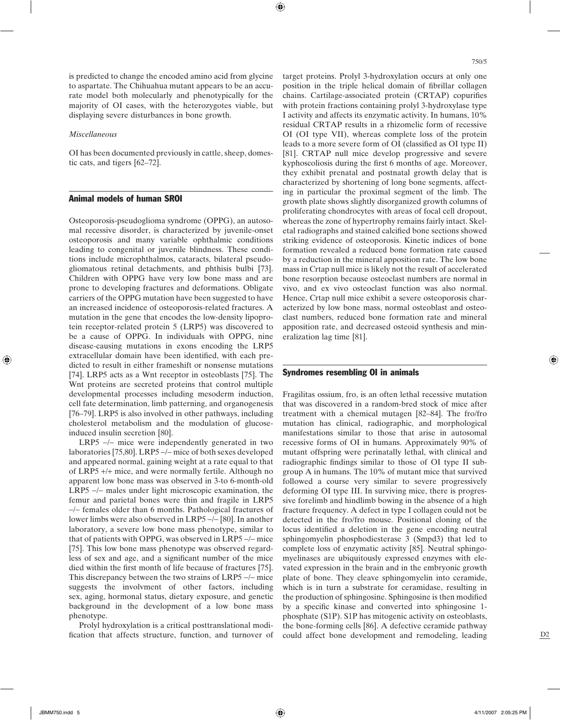is predicted to change the encoded amino acid from glycine to aspartate. The Chihuahua mutant appears to be an accurate model both molecularly and phenotypically for the majority of OI cases, with the heterozygotes viable, but displaying severe disturbances in bone growth.

⊕

#### *Miscellaneous*

OI has been documented previously in cattle, sheep, domestic cats, and tigers [62–72].

# Animal models of human SROI

Osteoporosis-pseudoglioma syndrome (OPPG), an autosomal recessive disorder, is characterized by juvenile-onset osteoporosis and many variable ophthalmic conditions leading to congenital or juvenile blindness. These conditions include microphthalmos, cataracts, bilateral pseudogliomatous retinal detachments, and phthisis bulbi [73]. Children with OPPG have very low bone mass and are prone to developing fractures and deformations. Obligate carriers of the OPPG mutation have been suggested to have an increased incidence of osteoporosis-related fractures. A mutation in the gene that encodes the low-density lipoprotein receptor-related protein 5 (LRP5) was discovered to be a cause of OPPG. In individuals with OPPG, nine disease-causing mutations in exons encoding the LRP5 extracellular domain have been identified, with each predicted to result in either frameshift or nonsense mutations [74]. LRP5 acts as a Wnt receptor in osteoblasts [75]. The Wnt proteins are secreted proteins that control multiple developmental processes including mesoderm induction, cell fate determination, limb patterning, and organogenesis [76–79]. LRP5 is also involved in other pathways, including cholesterol metabolism and the modulation of glucoseinduced insulin secretion [80].

LRP5 −/− mice were independently generated in two laboratories [75,80]. LRP5 −/− mice of both sexes developed and appeared normal, gaining weight at a rate equal to that of LRP5 +/+ mice, and were normally fertile. Although no apparent low bone mass was observed in 3-to 6-month-old LRP5 −/− males under light microscopic examination, the femur and parietal bones were thin and fragile in LRP5 −/− females older than 6 months. Pathological fractures of lower limbs were also observed in LRP5 −/− [80]. In another laboratory, a severe low bone mass phenotype, similar to that of patients with OPPG, was observed in LRP5 −/− mice [75]. This low bone mass phenotype was observed regardless of sex and age, and a significant number of the mice died within the first month of life because of fractures [75]. This discrepancy between the two strains of LRP5 −/− mice suggests the involvment of other factors, including sex, aging, hormonal status, dietary exposure, and genetic background in the development of a low bone mass phenotype.

Prolyl hydroxylation is a critical posttranslational modification that affects structure, function, and turnover of target proteins. Prolyl 3-hydroxylation occurs at only one position in the triple helical domain of fibrillar collagen chains. Cartilage-associated protein (CRTAP) copurifies with protein fractions containing prolyl 3-hydroxylase type I activity and affects its enzymatic activity. In humans, 10% residual CRTAP results in a rhizomelic form of recessive OI (OI type VII), whereas complete loss of the protein leads to a more severe form of OI (classified as OI type II) [81]. CRTAP null mice develop progressive and severe kyphoscoliosis during the first 6 months of age. Moreover, they exhibit prenatal and postnatal growth delay that is characterized by shortening of long bone segments, affecting in particular the proximal segment of the limb. The growth plate shows slightly disorganized growth columns of proliferating chondrocytes with areas of focal cell dropout, whereas the zone of hypertrophy remains fairly intact. Skeletal radiographs and stained calcified bone sections showed striking evidence of osteoporosis. Kinetic indices of bone formation revealed a reduced bone formation rate caused by a reduction in the mineral apposition rate. The low bone mass in Crtap null mice is likely not the result of accelerated bone resorption because osteoclast numbers are normal in vivo, and ex vivo osteoclast function was also normal. Hence, Crtap null mice exhibit a severe osteoporosis characterized by low bone mass, normal osteoblast and osteoclast numbers, reduced bone formation rate and mineral apposition rate, and decreased osteoid synthesis and mineralization lag time [81].

# Syndromes resembling OI in animals

Fragilitas ossium, fro, is an often lethal recessive mutation that was discovered in a random-bred stock of mice after treatment with a chemical mutagen [82–84]. The fro/fro mutation has clinical, radiographic, and morphological manifestations similar to those that arise in autosomal recessive forms of OI in humans. Approximately 90% of mutant offspring were perinatally lethal, with clinical and radiographic findings similar to those of OI type II subgroup A in humans. The 10% of mutant mice that survived followed a course very similar to severe progressively deforming OI type III. In surviving mice, there is progressive forelimb and hindlimb bowing in the absence of a high fracture frequency. A defect in type I collagen could not be detected in the fro/fro mouse. Positional cloning of the locus identified a deletion in the gene encoding neutral sphingomyelin phosphodiesterase 3 (Smpd3) that led to complete loss of enzymatic activity [85]. Neutral sphingomyelinases are ubiquitously expressed enzymes with elevated expression in the brain and in the embryonic growth plate of bone. They cleave sphingomyelin into ceramide, which is in turn a substrate for ceramidase, resulting in the production of sphingosine. Sphingosine is then modified by a specific kinase and converted into sphingosine 1phosphate (S1P). S1P has mitogenic activity on osteoblasts, the bone-forming cells [86]. A defective ceramide pathway could affect bone development and remodeling, leading ◈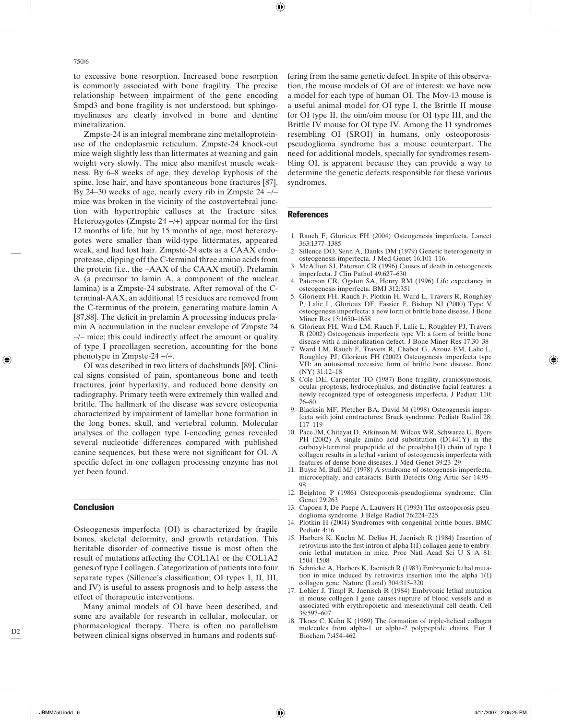750/6

to excessive bone resorption. Increased bone resorption is commonly associated with bone fragility. The precise relationship between impairment of the gene encoding Smpd3 and bone fragility is not understood, but sphingomyelinases are clearly involved in bone and dentine mineralization.

Zmpste-24 is an integral membrane zinc metalloproteinase of the endoplasmic reticulum. Zmpste-24 knock-out mice weigh slightly less than littermates at weaning and gain weight very slowly. The mice also manifest muscle weakness. By 6–8 weeks of age, they develop kyphosis of the spine, lose hair, and have spontaneous bone fractures [87]. By 24–30 weeks of age, nearly every rib in Zmpste 24 −/− mice was broken in the vicinity of the costovertebral junction with hypertrophic calluses at the fracture sites. Heterozygotes (Zmpste  $24 - (+)$ ) appear normal for the first 12 months of life, but by 15 months of age, most heterozygotes were smaller than wild-type littermates, appeared weak, and had lost hair. Zmpste-24 acts as a CAAX endoprotease, clipping off the C-terminal three amino acids from the protein (i.e., the –AAX of the CAAX motif). Prelamin A (a precursor to lamin A, a component of the nuclear lamina) is a Zmpste-24 substrate. After removal of the Cterminal-AAX, an additional 15 residues are removed from the C-terminus of the protein, generating mature lamin A [87,88]. The deficit in prelamin A processing induces prelamin A accumulation in the nuclear envelope of Zmpste 24 −/− mice; this could indirectly affect the amount or quality of type I procollagen secretion, accounting for the bone phenotype in Zmpste-24 −/−.

OI was described in two litters of dachshunds [89]. Clinical signs consisted of pain, spontaneous bone and teeth fractures, joint hyperlaxity, and reduced bone density on radiography. Primary teeth were extremely thin walled and brittle. The hallmark of the disease was severe osteopenia characterized by impairment of lamellar bone formation in the long bones, skull, and vertebral column. Molecular analyses of the collagen type I-encoding genes revealed several nucleotide differences compared with published canine sequences, but these were not significant for OI. A specific defect in one collagen processing enzyme has not yet been found.

#### Conclusion

Osteogenesis imperfecta (OI) is characterized by fragile bones, skeletal deformity, and growth retardation. This heritable disorder of connective tissue is most often the result of mutations affecting the COL1A1 or the COL1A2 genes of type I collagen. Categorization of patients into four separate types (Sillence's classification; OI types I, II, III, and IV) is useful to assess prognosis and to help assess the effect of therapeutic interventions.

Many animal models of OI have been described, and some are available for research in cellular, molecular, or pharmacological therapy. There is often no parallelism between clinical signs observed in humans and rodents suffering from the same genetic defect. In spite of this observation, the mouse models of OI are of interest: we have now a model for each type of human OI. The Mov-13 mouse is a useful animal model for OI type I, the Brittle II mouse for OI type II, the oim/oim mouse for OI type III, and the Brittle IV mouse for OI type IV. Among the 11 syndromes resembling OI (SROI) in humans, only osteoporosispseudoglioma syndrome has a mouse counterpart. The need for additional models, specially for syndromes resembling OI, is apparent because they can provide a way to determine the genetic defects responsible for these various syndromes.

# **References**

⊕

- 1. Rauch F, Glorieux FH (2004) Osteogenesis imperfecta. Lancet 363:1377–1385
- 2. Sillence DO, Senn A, Danks DM (1979) Genetic heterogeneity in osteogenesis imperfecta. J Med Genet 16:101–116
- 3. McAllion SJ, Paterson CR (1996) Causes of death in osteogenesis imperfecta. J Clin Pathol 49:627–630
- 4. Paterson CR, Ogston SA, Henry RM (1996) Life expectancy in osteogenesis imperfecta. BMJ 312:351
- 5. Glorieux FH, Rauch F, Plotkin H, Ward L, Travers R, Roughley P, Lalic L, Glorieux DF, Fassier F, Bishop NJ (2000) Type V osteogenesis imperfecta: a new form of brittle bone disease. J Bone Miner Res 15:1650–1658
- 6. Glorieux FH, Ward LM, Rauch F, Lalic L, Roughley PJ, Travers R (2002) Osteogenesis imperfecta type VI: a form of brittle bone disease with a mineralization defect. J Bone Miner Res 17:30–38
- 7. Ward LM, Rauch F, Travers R, Chabot G, Azouz EM, Lalic L, Roughley PJ, Glorieux FH (2002) Osteogenesis imperfecta type VII: an autosomal recessive form of brittle bone disease. Bone (NY) 31:12–18
- 8. Cole DE, Carpenter TO (1987) Bone fragility, craniosynostosis, ocular proptosis, hydrocephalus, and distinctive facial features: a newly recognized type of osteogenesis imperfecta. J Pediatr 110: 76–80
- 9. Blacksin MF, Pletcher BA, David M (1998) Osteogenesis imperfecta with joint contractures: Bruck syndrome. Pediatr Radiol 28: 117–119
- 10. Pace JM, Chitayat D, Atkinson M, Wilcox WR, Schwarze U, Byers PH (2002) A single amino acid substitution (D1441Y) in the carboxyl-terminal propeptide of the proalpha1(I) chain of type I collagen results in a lethal variant of osteogenesis imperfecta with features of dense bone diseases. J Med Genet 39:23–29
- 11. Buyse M, Bull MJ (1978) A syndrome of osteogenesis imperfecta, microcephaly, and cataracts. Birth Defects Orig Artic Ser 14:95– 98
- 12. Beighton P (1986) Osteoporosis-pseudoglioma syndrome. Clin Genet 29:263
- 13. Capoen J, De Paepe A, Lauwers H (1993) The osteoporosis pseudoglioma syndrome. J Belge Radiol 76:224–225
- 14. Plotkin H (2004) Syndromes with congenital brittle bones. BMC Pediatr 4:16
- 15. Harbers K, Kuehn M, Delius H, Jaenisch R (1984) Insertion of retrovirus into the first intron of alpha  $1(I)$  collagen gene to embryonic lethal mutation in mice. Proc Natl Acad Sci U S A 81: 1504–1508
- 16. Schnieke A, Harbers K, Jaenisch R (1983) Embryonic lethal mutation in mice induced by retrovirus insertion into the alpha 1(I) collagen gene. Nature (Lond) 304:315–320
- 17. Lohler J, Timpl R, Jaenisch R (1984) Embryonic lethal mutation in mouse collagen I gene causes rupture of blood vessels and is associated with erythropoietic and mesenchymal cell death. Cell 38:597–607
- 18. Tkocz C, Kuhn K (1969) The formation of triple-helical collagen molecules from alpha-1 or alpha-2 polypeptide chains. Eur J Biochem 7:454–462

D2

◈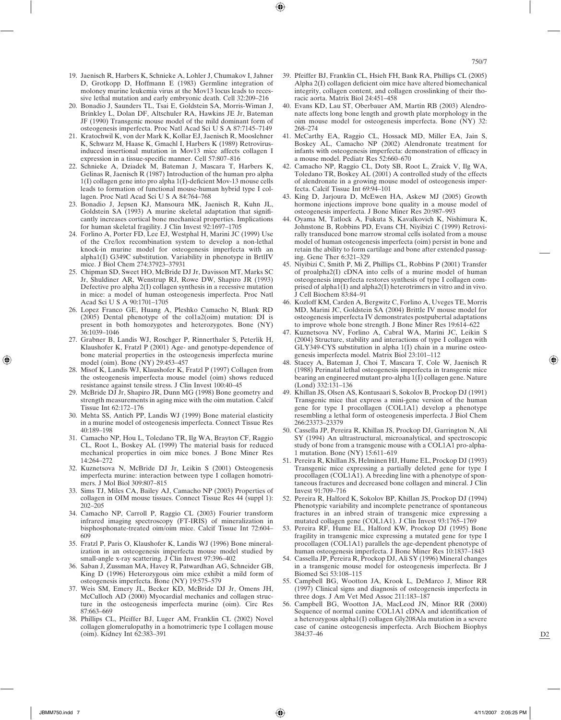- 19. Jaenisch R, Harbers K, Schnieke A, Lohler J, Chumakov I, Jahner D, Grotkopp D, Hoffmann E (1983) Germline integration of moloney murine leukemia virus at the Mov13 locus leads to recessive lethal mutation and early embryonic death. Cell 32:209–216
- 20. Bonadio J, Saunders TL, Tsai E, Goldstein SA, Morris-Wiman J, Brinkley L, Dolan DF, Altschuler RA, Hawkins JE Jr, Bateman JF (1990) Transgenic mouse model of the mild dominant form of osteogenesis imperfecta. Proc Natl Acad Sci U S A 87:7145–7149
- 21. Kratochwil K, von der Mark K, Kollar EJ, Jaenisch R, Mooslehner K, Schwarz M, Haase K, Gmachl I, Harbers K (1989) Retrovirusinduced insertional mutation in Mov13 mice affects collagen I expression in a tissue-specific manner. Cell 57:807-816
- 22. Schnieke A, Dziadek M, Bateman J, Mascara T, Harbers K, Gelinas R, Jaenisch R (1987) Introduction of the human pro alpha  $1(I)$  collagen gene into pro alpha  $1(I)$ -deficient Mov-13 mouse cells leads to formation of functional mouse-human hybrid type I collagen. Proc Natl Acad Sci U S A 84:764–768
- 23. Bonadio J, Jepsen KJ, Mansoura MK, Jaenisch R, Kuhn JL, Goldstein SA (1993) A murine skeletal adaptation that significantly increases cortical bone mechanical properties. Implications for human skeletal fragility. J Clin Invest 92:1697–1705
- 24. Forlino A, Porter FD, Lee EJ, Westphal H, Marini JC (1999) Use of the Cre/lox recombination system to develop a non-lethal knock-in murine model for osteogenesis imperfecta with an alpha1(I) G349C substitution. Variability in phenotype in BrtlIV mice. J Biol Chem 274:37923–37931
- 25. Chipman SD, Sweet HO, McBride DJ Jr, Davisson MT, Marks SC Jr, Shuldiner AR, Wenstrup RJ, Rowe DW, Shapiro JR (1993) Defective pro alpha 2(I) collagen synthesis in a recessive mutation in mice: a model of human osteogenesis imperfecta. Proc Natl Acad Sci U S A 90:1701–1705
- 26. Lopez Franco GE, Huang A, Pleshko Camacho N, Blank RD (2005) Dental phenotype of the col1a2(oim) mutation: DI is present in both homozygotes and heterozygotes. Bone (NY) 36:1039–1046
- 27. Grabner B, Landis WJ, Roschger P, Rinnerthaler S, Peterlik H, Klaushofer K, Fratzl P (2001) Age- and genotype-dependence of bone material properties in the osteogenesis imperfecta murine model (oim). Bone (NY) 29:453–457
- 28. Misof K, Landis WJ, Klaushofer K, Fratzl P (1997) Collagen from the osteogenesis imperfecta mouse model (oim) shows reduced resistance against tensile stress. J Clin Invest 100:40–45
- 29. McBride DJ Jr, Shapiro JR, Dunn MG (1998) Bone geometry and strength measurements in aging mice with the oim mutation. Calcif Tissue Int 62:172–176
- 30. Mehta SS, Antich PP, Landis WJ (1999) Bone material elasticity in a murine model of osteogenesis imperfecta. Connect Tissue Res 40:189–198
- 31. Camacho NP, Hou L, Toledano TR, Ilg WA, Brayton CF, Raggio CL, Root L, Boskey AL (1999) The material basis for reduced mechanical properties in oim mice bones. J Bone Miner Res 14:264–272
- 32. Kuznetsova N, McBride DJ Jr, Leikin S (2001) Osteogenesis imperfecta murine: interaction between type I collagen homotrimers. J Mol Biol 309:807–815
- 33. Sims TJ, Miles CA, Bailey AJ, Camacho NP (2003) Properties of collagen in OIM mouse tissues. Connect Tissue Res 44 (suppl 1): 202–205
- 34. Camacho NP, Carroll P, Raggio CL (2003) Fourier transform infrared imaging spectroscopy (FT-IRIS) of mineralization in bisphosphonate-treated oim/oim mice. Calcif Tissue Int 72:604– 609
- 35. Fratzl P, Paris O, Klaushofer K, Landis WJ (1996) Bone mineralization in an osteogenesis imperfecta mouse model studied by small-angle x-ray scattering. J Clin Invest 97:396–402
- 36. Saban J, Zussman MA, Havey R, Patwardhan AG, Schneider GB, King D (1996) Heterozygous oim mice exhibit a mild form of osteogenesis imperfecta. Bone (NY) 19:575–579
- 37. Weis SM, Emery JL, Becker KD, McBride DJ Jr, Omens JH, McCulloch AD (2000) Myocardial mechanics and collagen structure in the osteogenesis imperfecta murine (oim). Circ Res 87:663–669
- 38. Phillips CL, Pfeiffer BJ, Luger AM, Franklin CL (2002) Novel collagen glomerulopathy in a homotrimeric type I collagen mouse (oim). Kidney Int 62:383–391
- 39. Pfeiffer BJ, Franklin CL, Hsieh FH, Bank RA, Phillips CL (2005) Alpha  $2(I)$  collagen deficient oim mice have altered biomechanical integrity, collagen content, and collagen crosslinking of their thoracic aorta. Matrix Biol 24:451–458
- 40. Evans KD, Lau ST, Oberbauer AM, Martin RB (2003) Alendronate affects long bone length and growth plate morphology in the oim mouse model for osteogenesis imperfecta. Bone (NY) 32: 268–274
- 41. McCarthy EA, Raggio CL, Hossack MD, Miller EA, Jain S, Boskey AL, Camacho NP (2002) Alendronate treatment for infants with osteogenesis imperfecta: demonstration of efficacy in a mouse model. Pediatr Res 52:660–670
- 42. Camacho NP, Raggio CL, Doty SB, Root L, Zraick V, Ilg WA, Toledano TR, Boskey AL (2001) A controlled study of the effects of alendronate in a growing mouse model of osteogenesis imperfecta. Calcif Tissue Int 69:94–101
- 43. King D, Jarjoura D, McEwen HA, Askew MJ (2005) Growth hormone injections improve bone quality in a mouse model of osteogenesis imperfecta. J Bone Miner Res 20:987–993
- 44. Oyama M, Tatlock A, Fukuta S, Kavalkovich K, Nishimura K, Johnstone B, Robbins PD, Evans CH, Niyibizi C (1999) Retrovirally transduced bone marrow stromal cells isolated from a mouse model of human osteogenesis imperfecta (oim) persist in bone and retain the ability to form cartilage and bone after extended passaging. Gene Ther 6:321–329
- 45. Niyibizi C, Smith P, Mi Z, Phillips CL, Robbins P (2001) Transfer of proalpha2(I) cDNA into cells of a murine model of human osteogenesis imperfecta restores synthesis of type I collagen comprised of alpha1(I) and alpha2(I) heterotrimers in vitro and in vivo. J Cell Biochem 83:84–91
- 46. Kozloff KM, Carden A, Bergwitz C, Forlino A, Uveges TE, Morris MD, Marini JC, Goldstein SA (2004) Brittle IV mouse model for osteogenesis imperfecta IV demonstrates postpubertal adaptations to improve whole bone strength. J Bone Miner Res 19:614–622
- Kuznetsova NV, Forlino A, Cabral WA, Marini JC, Leikin S (2004) Structure, stability and interactions of type I collagen with GLY349-CYS substitution in alpha 1(I) chain in a murine osteogenesis imperfecta model. Matrix Biol 23:101–112
- 48. Stacey A, Bateman J, Choi T, Mascara T, Cole W, Jaenisch R (1988) Perinatal lethal osteogenesis imperfecta in transgenic mice bearing an engineered mutant pro-alpha 1(I) collagen gene. Nature (Lond) 332:131–136
- 49. Khillan JS, Olsen AS, Kontusaari S, Sokolov B, Prockop DJ (1991) Transgenic mice that express a mini-gene version of the human gene for type I procollagen (COL1A1) develop a phenotype resembling a lethal form of osteogenesis imperfecta. J Biol Chem 266:23373–23379
- 50. Cassella JP, Pereira R, Khillan JS, Prockop DJ, Garrington N, Ali SY (1994) An ultrastructural, microanalytical, and spectroscopic study of bone from a transgenic mouse with a COL1A1 pro-alpha-1 mutation. Bone (NY) 15:611–619
- 51. Pereira R, Khillan JS, Helminen HJ, Hume EL, Prockop DJ (1993) Transgenic mice expressing a partially deleted gene for type I procollagen (COL1A1). A breeding line with a phenotype of spontaneous fractures and decreased bone collagen and mineral. J Clin Invest 91:709–716
- 52. Pereira R, Halford K, Sokolov BP, Khillan JS, Prockop DJ (1994) Phenotypic variability and incomplete penetrance of spontaneous fractures in an inbred strain of transgenic mice expressing a mutated collagen gene (COL1A1). J Clin Invest 93:1765–1769
- 53. Pereira RF, Hume EL, Halford KW, Prockop DJ (1995) Bone fragility in transgenic mice expressing a mutated gene for type I procollagen (COL1A1) parallels the age-dependent phenotype of human osteogenesis imperfecta. J Bone Miner Res 10:1837–1843
- 54. Cassella JP, Pereira R, Prockop DJ, Ali SY (1996) Mineral changes in a transgenic mouse model for osteogenesis imperfecta. Br J Biomed Sci 53:108–115
- 55. Campbell BG, Wootton JA, Krook L, DeMarco J, Minor RR (1997) Clinical signs and diagnosis of osteogenesis imperfecta in three dogs. J Am Vet Med Assoc 211:183–187
- 56. Campbell BG, Wootton JA, MacLeod JN, Minor RR (2000) Sequence of normal canine COL1A1 cDNA and identification of a heterozygous alpha1(I) collagen Gly208Ala mutation in a severe case of canine osteogenesis imperfecta. Arch Biochem Biophys 384:37–46

◈

 $D2$ 

◈

⊕